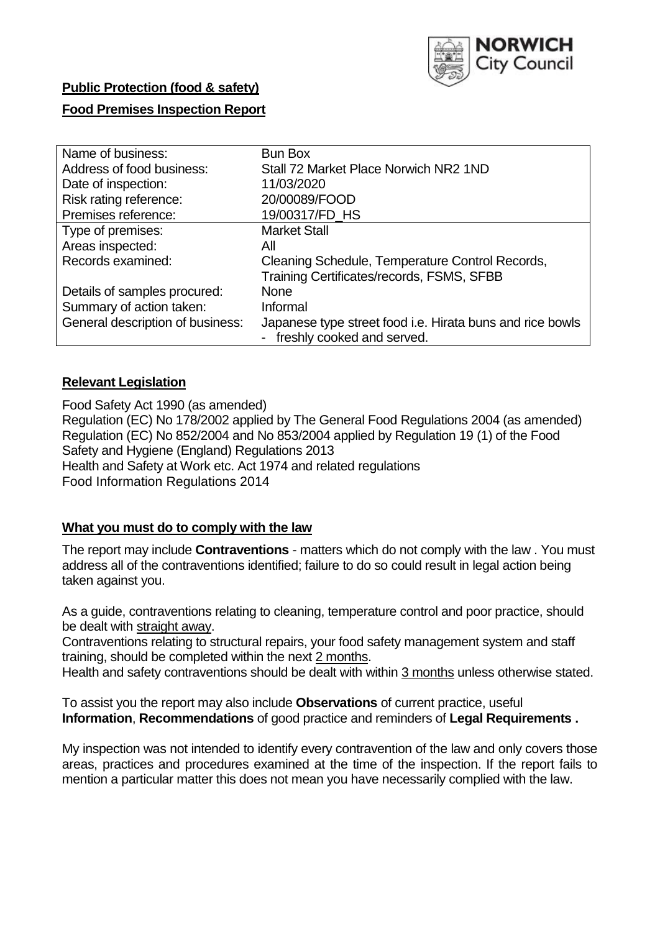

# **Public Protection (food & safety) Food Premises Inspection Report**

| Name of business:                | <b>Bun Box</b>                                                                            |
|----------------------------------|-------------------------------------------------------------------------------------------|
| Address of food business:        | Stall 72 Market Place Norwich NR2 1ND                                                     |
| Date of inspection:              | 11/03/2020                                                                                |
| Risk rating reference:           | 20/00089/FOOD                                                                             |
| Premises reference:              | 19/00317/FD_HS                                                                            |
| Type of premises:                | <b>Market Stall</b>                                                                       |
| Areas inspected:                 | All                                                                                       |
| Records examined:                | Cleaning Schedule, Temperature Control Records,                                           |
|                                  | Training Certificates/records, FSMS, SFBB                                                 |
| Details of samples procured:     | <b>None</b>                                                                               |
| Summary of action taken:         | Informal                                                                                  |
| General description of business: | Japanese type street food i.e. Hirata buns and rice bowls<br>- freshly cooked and served. |
|                                  |                                                                                           |

## **Relevant Legislation**

Food Safety Act 1990 (as amended) Regulation (EC) No 178/2002 applied by The General Food Regulations 2004 (as amended) Regulation (EC) No 852/2004 and No 853/2004 applied by Regulation 19 (1) of the Food Safety and Hygiene (England) Regulations 2013 Health and Safety at Work etc. Act 1974 and related regulations Food Information Regulations 2014

## **What you must do to comply with the law**

The report may include **Contraventions** - matters which do not comply with the law . You must address all of the contraventions identified; failure to do so could result in legal action being taken against you.

As a guide, contraventions relating to cleaning, temperature control and poor practice, should be dealt with straight away.

Contraventions relating to structural repairs, your food safety management system and staff training, should be completed within the next 2 months.

Health and safety contraventions should be dealt with within 3 months unless otherwise stated.

To assist you the report may also include **Observations** of current practice, useful **Information**, **Recommendations** of good practice and reminders of **Legal Requirements .**

My inspection was not intended to identify every contravention of the law and only covers those areas, practices and procedures examined at the time of the inspection. If the report fails to mention a particular matter this does not mean you have necessarily complied with the law.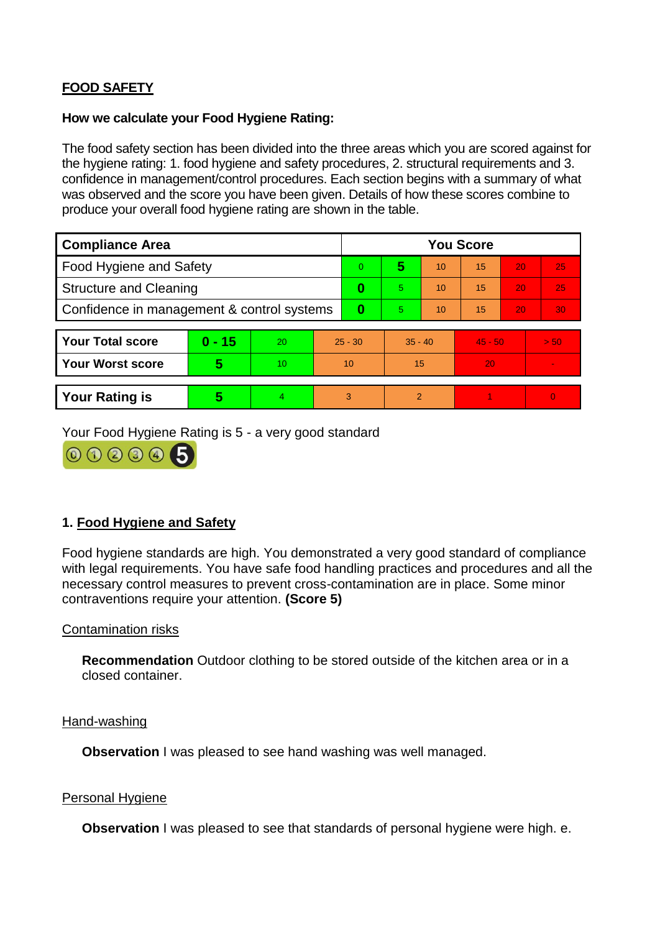## **FOOD SAFETY**

### **How we calculate your Food Hygiene Rating:**

The food safety section has been divided into the three areas which you are scored against for the hygiene rating: 1. food hygiene and safety procedures, 2. structural requirements and 3. confidence in management/control procedures. Each section begins with a summary of what was observed and the score you have been given. Details of how these scores combine to produce your overall food hygiene rating are shown in the table.

| <b>Compliance Area</b>                     |          |                  |           | <b>You Score</b> |                |    |           |    |                |  |  |
|--------------------------------------------|----------|------------------|-----------|------------------|----------------|----|-----------|----|----------------|--|--|
| Food Hygiene and Safety                    |          |                  |           | 0                | 5              | 10 | 15        | 20 | 25             |  |  |
| <b>Structure and Cleaning</b>              |          |                  | $\bf{0}$  | 5                | 10             | 15 | 20        | 25 |                |  |  |
| Confidence in management & control systems |          |                  | $\bf{0}$  | 5                | 10             | 15 | 20        | 30 |                |  |  |
|                                            |          |                  |           |                  |                |    |           |    |                |  |  |
| <b>Your Total score</b>                    | $0 - 15$ | 20               | $25 - 30$ |                  | $35 - 40$      |    | $45 - 50$ |    | > 50           |  |  |
| <b>Your Worst score</b>                    | 5        | 10 <sup>10</sup> | 10        |                  | 15             |    | 20        |    | $\blacksquare$ |  |  |
|                                            |          |                  |           |                  |                |    |           |    |                |  |  |
| <b>Your Rating is</b>                      | 5        | 4                | 3         |                  | $\overline{2}$ |    |           |    | $\Omega$       |  |  |

Your Food Hygiene Rating is 5 - a very good standard



## **1. Food Hygiene and Safety**

Food hygiene standards are high. You demonstrated a very good standard of compliance with legal requirements. You have safe food handling practices and procedures and all the necessary control measures to prevent cross-contamination are in place. Some minor contraventions require your attention. **(Score 5)**

## Contamination risks

**Recommendation** Outdoor clothing to be stored outside of the kitchen area or in a closed container.

#### Hand-washing

**Observation I** was pleased to see hand washing was well managed.

#### Personal Hygiene

**Observation** I was pleased to see that standards of personal hygiene were high. e.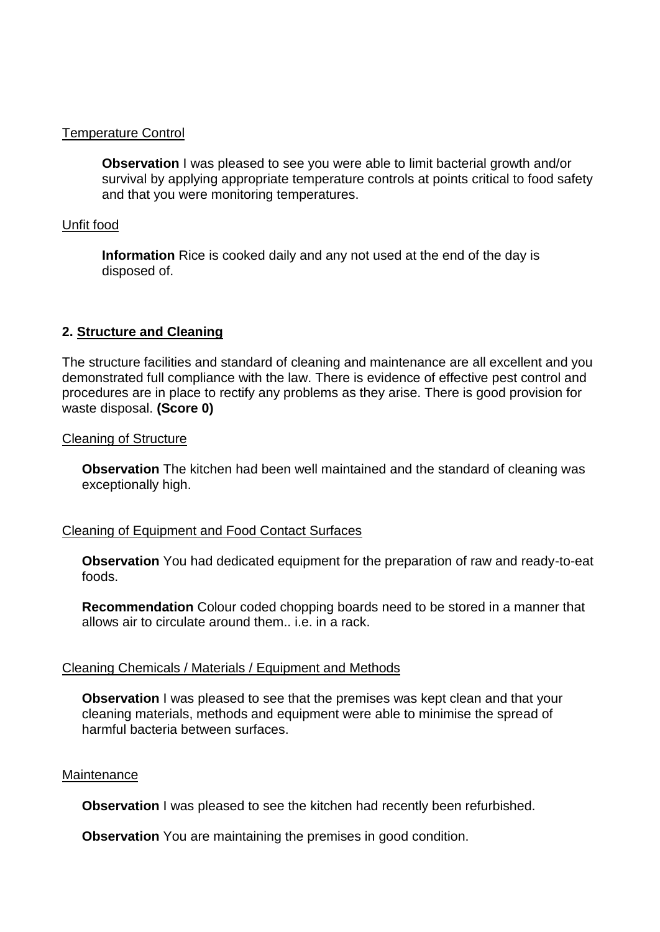### Temperature Control

**Observation I** was pleased to see you were able to limit bacterial growth and/or survival by applying appropriate temperature controls at points critical to food safety and that you were monitoring temperatures.

#### Unfit food

**Information** Rice is cooked daily and any not used at the end of the day is disposed of.

## **2. Structure and Cleaning**

The structure facilities and standard of cleaning and maintenance are all excellent and you demonstrated full compliance with the law. There is evidence of effective pest control and procedures are in place to rectify any problems as they arise. There is good provision for waste disposal. **(Score 0)**

#### Cleaning of Structure

**Observation** The kitchen had been well maintained and the standard of cleaning was exceptionally high.

## Cleaning of Equipment and Food Contact Surfaces

**Observation** You had dedicated equipment for the preparation of raw and ready-to-eat foods.

**Recommendation** Colour coded chopping boards need to be stored in a manner that allows air to circulate around them.. i.e. in a rack.

#### Cleaning Chemicals / Materials / Equipment and Methods

**Observation** I was pleased to see that the premises was kept clean and that your cleaning materials, methods and equipment were able to minimise the spread of harmful bacteria between surfaces.

#### **Maintenance**

**Observation** I was pleased to see the kitchen had recently been refurbished.

**Observation** You are maintaining the premises in good condition.